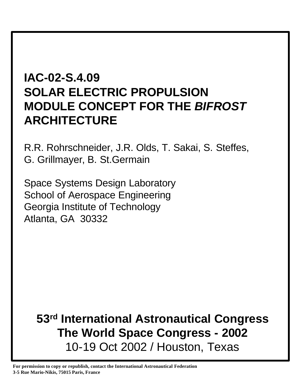# **IAC-02-S.4.09 SOLAR ELECTRIC PROPULSION MODULE CONCEPT FOR THE** *BIFROST* **ARCHITECTURE**

R.R. Rohrschneider, J.R. Olds, T. Sakai, S. Steffes, G. Grillmayer, B. St.Germain

Space Systems Design Laboratory School of Aerospace Engineering Georgia Institute of Technology Atlanta, GA 30332

# **53rd International Astronautical Congress The World Space Congress - 2002** 10-19 Oct 2002 / Houston, Texas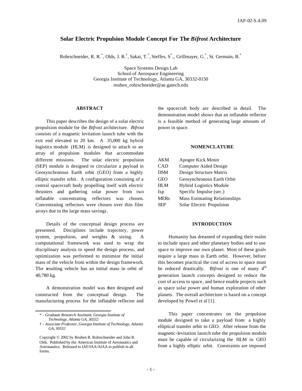# **Solar Electric Propulsion Module Concept For The** *Bifrost* **Architecture**

Rohrschneider, R. R.\*, Olds, J. R.<sup>†</sup>, Sakai, T.<sup>\*</sup>, Steffes, S<sup>\*</sup>., Grillmayer, G.<sup>\*</sup>, St. Germain, B.<sup>\*</sup>

Space Systems Design Lab School of Aerospace Engineering Georgia Institute of Technology, Atlanta GA, 30332-0150 reuben\_rohrschneider@ae.gatech.edu

#### **ABSTRACT**

This paper describes the design of a solar electric propulsion module for the *Bifrost* architecture. *Bifrost* consists of a magnetic levitation launch tube with the exit end elevated to 20 km. A 35,000 kg hybrid logistics module (HLM) is designed to attach to an array of propulsion modules that accommodate different missions. The solar electric propulsion (SEP) module is designed to circularize a payload in Geosynchronous Earth orbit (GEO) from a highly elliptic transfer orbit. A configuration consisting of a central spacecraft body propelling itself with electric thrusters and gathering solar power from two inflatable concentrating reflectors was chosen. Concentrating reflectors were chosen over thin film arrays due to the large mass savings.

Details of the conceptual design process are presented. Disciplines include trajectory, power system, propulsion, and weights & sizing. A computational framework was used to wrap the disciplinary analysis to speed the design process, and optimization was performed to minimize the initial mass of the vehicle from within the design framework. The resulting vehicle has an initial mass in orbit of 40,780 kg.

A demonstration model was then designed and constructed from the conceptual design. The manufacturing process for the inflatable reflector and

\* - *Graduate Research Assistant, Georgia Institute of Technology, Atlanta GA, 30332*

the spacecraft body are described in detail. The demonstration model shows that an inflatable reflector is a feasible method of generating large amounts of power in space.

# **NOMENCLATURE**

| AKM         | Apogee Kick Motor                    |
|-------------|--------------------------------------|
| CAD         | <b>Computer Aided Design</b>         |
| DSM         | Design Structure Matrix              |
| GEO         | Geosynchronous Earth Orbit           |
| HLМ         | <b>Hybrid Logistics Module</b>       |
| Isp         | Specific Impulse (sec.)              |
| <b>MERs</b> | <b>Mass Estimating Relationships</b> |
| SEP         | Solar Electric Propulsion            |

#### **INTRODUCTION**

Humanity has dreamed of expanding their realm to include space and other planetary bodies and to use space to improve our own planet. Most of these goals require a large mass in Earth orbit. However, before this becomes practical the cost of access to space must be reduced drastically. *Bifrost* is one of many 4<sup>th</sup> generation launch concepts designed to reduce the cost of access to space, and hence enable projects such as space solar power and human exploration of other planets. The overall architecture is based on a concept developed by Powel et al [1].

This paper concentrates on the propulsion module designed to take a payload from a highly elliptical transfer orbit to GEO. After release from the magnetic-levitation launch tube the propulsion module must be capable of circularizing the HLM in GEO from a highly elliptic orbit. Constraints are imposed

<sup>† -</sup> *Associate Professor, Georgia Institute of Technology, Atlanta GA, 30332*

Copyright © 2002 by Reuben R. Rohrschneider and John R. Olds. Published by the American Institute of Aeronautics and Astronautics. Released to IAF/IAA/AIAA to publish in all forms.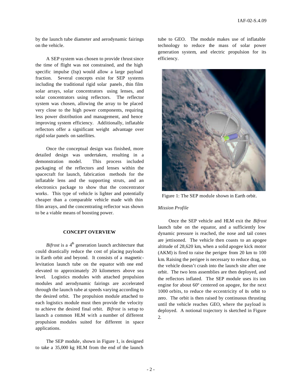by the launch tube diameter and aerodynamic fairings on the vehicle.

A SEP system was chosen to provide thrust since the time of flight was not constrained, and the high specific impulse (Isp) would allow a large payload fraction. Several concepts exist for SEP systems including the traditional rigid solar panels, thin film solar arrays, solar concentrators using lenses, and solar concentrators using reflectors. The reflector system was chosen, allowing the array to be placed very close to the high power components, requiring less power distribution and management, and hence improving system efficiency. Additionally, inflatable reflectors offer a significant weight advantage over rigid solar panels on satellites.

Once the conceptual design was finished, more detailed design was undertaken, resulting in a demonstration model. This process included packaging of the reflectors and lenses within the spacecraft for launch, fabrication methods for the inflatable lens and the supporting struts, and an electronics package to show that the concentrator works. This type of vehicle is lighter and potentially cheaper than a comparable vehicle made with thin film arrays, and the concentrating reflector was shown to be a viable means of boosting power.

#### **CONCEPT OVERVIEW**

Bifrost is a 4<sup>th</sup> generation launch architecture that could drastically reduce the cost of placing payloads in Earth orbit and beyond. It consists of a magneticlevitation launch tube on the equator with one end elevated to approximately 20 kilometers above sea level. Logistics modules with attached propulsion modules and aerodynamic fairings are accelerated through the launch tube at speeds varying according to the desired orbit. The propulsion module attached to each logistics module must then provide the velocity to achieve the desired final orbit. *Bifrost* is setup to launch a common HLM with a number of different propulsion modules suited for different in space applications.

The SEP module, shown in Figure 1, is designed to take a 35,000 kg HLM from the end of the launch

tube to GEO. The module makes use of inflatable technology to reduce the mass of solar power generation system, and electric propulsion for its efficiency.



Figure 1: The SEP module shown in Earth orbit.

#### *Mission Profile*

Once the SEP vehicle and HLM exit the *Bifrost* launch tube on the equator, and a sufficiently low dynamic pressure is reached, the nose and tail cones are jettisoned. The vehicle then coasts to an apogee altitude of 28,620 km, when a solid apogee kick motor (AKM) is fired to raise the perigee from 20 km to 100 km. Raising the perigee is necessary to reduce drag, so the vehicle doesn't crash into the launch site after one orbit. The two lens assemblies are then deployed, and the reflectors inflated. The SEP module uses its ion engine for about 60º centered on apogee, for the next 1000 orbits, to reduce the eccentricity of its orbit to zero. The orbit is then raised by continuous thrusting until the vehicle reaches GEO, where the payload is deployed. A notional trajectory is sketched in Figure 2.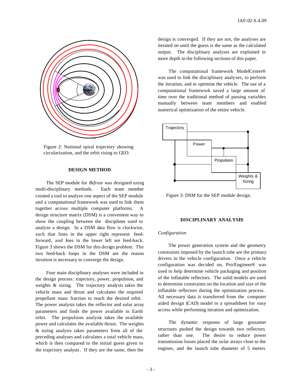

Figure 2: Notional spiral trajectory showing circularization, and the orbit rising to GEO.

# **DESIGN METHOD**

The SEP module for *Bifrost* was designed using multi-disciplinary methods. Each team member created a tool to analyze one aspect of the SEP module and a computational framework was used to link them together across multiple computer platforms. design structure matrix (DSM) is a convenient way to show the coupling between the disciplines used to analyze a design. In a DSM data flow is clockwise, such that lines in the upper right represent feedforward, and lines in the lower left are feed-back. Figure 3 shows the DSM for this design problem. The two feed-back loops in the DSM are the reason iteration is necessary to converge the design.

Four main disciplinary analyses were included in the design process: trajectory, power, propulsion, and weights & sizing. The trajectory analysis takes the vehicle mass and thrust and calculates the required propellant mass fraction to reach the desired orbit. The power analysis takes the reflector and solar array parameters and finds the power available in Earth orbit. The propulsion analysis takes the available power and calculates the available thrust. The weights & sizing analysis takes parameters from all of the preceding analyses and calculates a total vehicle mass, which is then compared to the initial guess given to the trajectory analysis. If they are the same, then the

design is converged. If they are not, the analyses are iterated on until the guess is the same as the calculated output. The disciplinary analyses are explained in more depth in the following sections of this paper.

The computational framework ModelCenter® was used to link the disciplinary analyses, to perform the iteration, and to optimize the vehicle. The use of a computational framework saved a large amount of time over the traditional method of passing variables manually between team members and enabled numerical optimization of the entire vehicle.



Figure 3: DSM for the SEP module design.

# **DISCIPLINARY ANALYSES**

#### *Configuration*

The power generation system and the geometry constraints imposed by the launch tube are the primary drivers in the vehicle configuration. Once a vehicle configuration was decided on, Pro/Engineer® was used to help determine vehicle packaging and position of the inflatable reflectors. The solid models are used to determine constraints on the location and size of the inflatable reflectors during the optimization process. All necessary data is transferred from the computer aided design (CAD) model to a spreadsheet for easy access while performing iteration and optimization.

The dynamic response of large gossamer structures pushed the design towards two reflectors rather than one. The desire to reduce power transmission losses placed the solar arrays close to the engines, and the launch tube diameter of 5 meters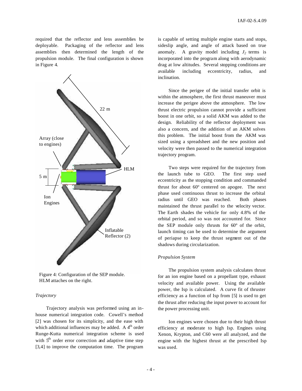required that the reflector and lens assemblies be deployable. Packaging of the reflector and lens assemblies then determined the length of the propulsion module. The final configuration is shown in Figure 4.



Figure 4: Configuration of the SEP module. HLM attaches on the right.

## *Trajectory*

Trajectory analysis was performed using an inhouse numerical integration code. Cowell's method [2] was chosen for its simplicity, and the ease with which additional influences may be added. A  $4<sup>th</sup>$  order Runge-Kutta numerical integration scheme is used with  $5<sup>th</sup>$  order error correction and adaptive time step [3,4] to improve the computation time. The program

is capable of setting multiple engine starts and stops, sideslip angle, and angle of attack based on true anomaly. A gravity model including  $J_2$  terms is incorporated into the program along with aerodynamic drag at low altitudes. Several stopping conditions are available including eccentricity, radius, and inclination.

Since the perigee of the initial transfer orbit is within the atmosphere, the first thrust maneuver must increase the perigee above the atmosphere. The low thrust electric propulsion cannot provide a sufficient boost in one orbit, so a solid AKM was added to the design. Reliability of the reflector deployment was also a concern, and the addition of an AKM solves this problem. The initial boost from the AKM was sized using a spreadsheet and the new position and velocity were then passed to the numerical integration trajectory program.

Two steps were required for the trajectory from the launch tube to GEO. The first step used eccentricity as the stopping condition and commanded thrust for about 60º centered on apogee. The next phase used continuous thrust to increase the orbital radius until GEO was reached. Both phases maintained the thrust parallel to the velocity vector. The Earth shades the vehicle for only 4.8% of the orbital period, and so was not accounted for. Since the SEP module only thrusts for 60° of the orbit, launch timing can be used to determine the argument of periapse to keep the thrust segment out of the shadows during circularization.

### *Propulsion System*

The propulsion system analysis calculates thrust for an ion engine based on a propellant type, exhaust velocity and available power. Using the available power, the Isp is calculated. A curve fit of thruster efficiency as a function of Isp from [5] is used to get the thrust after reducing the input power to account for the power processing unit.

Ion engines were chosen due to their high thrust efficiency at moderate to high Isp. Engines using Xenon, Krypton, and C60 were all analyzed, and the engine with the highest thrust at the prescribed Isp was used.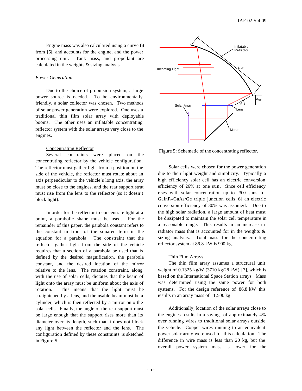Engine mass was also calculated using a curve fit from [5], and accounts for the engine, and the power processing unit. Tank mass, and propellant are calculated in the weights & sizing analysis.

# *Power Generation*

Due to the choice of propulsion system, a large power source is needed. To be environmentally friendly, a solar collector was chosen. Two methods of solar power generation were explored. One uses a traditional thin film solar array with deployable booms. The other uses an inflatable concentrating reflector system with the solar arrays very close to the engines.

## Concentrating Reflector

Several constraints were placed on the concentrating reflector by the vehicle configuration. The reflector must gather light from a position on the side of the vehicle, the reflector must rotate about an axis perpendicular to the vehicle's long axis, the array must be close to the engines, and the rear support strut must rise from the lens to the reflector (so it doesn't block light).

In order for the reflector to concentrate light at a point, a parabolic shape must be used. For the remainder of this paper, the parabola constant refers to the constant in front of the squared term in the equation for a parabola. The constraint that the reflector gather light from the side of the vehicle requires that a section of a parabola be used that is defined by the desired magnification, the parabola constant, and the desired location of the mirror relative to the lens. The rotation constraint, along with the use of solar cells, dictates that the beam of light onto the array must be uniform about the axis of rotation. This means that the light must be straightened by a lens, and the usable beam must be a cylinder, which is then reflected by a mirror onto the solar cells. Finally, the angle of the rear support must be large enough that the support rises more than its diameter over its length, such that it does not block any light between the reflector and the lens. The configuration defined by these constraints is sketched in Figure 5.



Figure 5: Schematic of the concentrating reflector.

Solar cells were chosen for the power generation due to their light weight and simplicity. Typically a high efficiency solar cell has an electric conversion efficiency of 26% at one sun. Since cell efficiency rises with solar concentration up to 300 suns for  $GalnP<sub>2</sub>/GaAs/Ge$  triple junction cells [6] an electric conversion efficiency of 30% was assumed. Due to the high solar radiation, a large amount of heat must be dissipated to maintain the solar cell temperature in a reasonable range. This results in an increase in radiator mass that is accounted for in the weights & sizing analysis. Total mass for the concentrating reflector system at 86.8 kW is 900 kg.

## Thin Film Arrays

The thin film array assumes a structural unit weight of 0.1325 kg/W (3710 kg/28 kW) [7], which is based on the International Space Station arrays. Mass was determined using the same power for both systems. For the design reference of 86.8 kW this results in an array mass of 11,500 kg.

Additionally, location of the solar arrays close to the engines results in a savings of approximately 4% over running wires to traditional solar arrays outside the vehicle. Copper wires running to an equivalent power solar array were used for this calculation. The difference in wire mass is less than 20 kg, but the overall power system mass is lower for the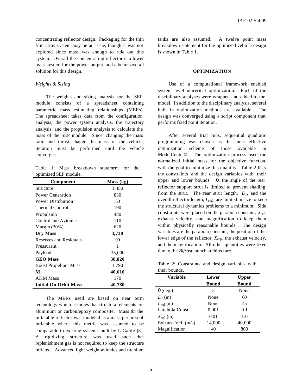concentrating reflector design. Packaging for the thin film array system may be an issue, though it was not explored since mass was enough to rule out this system. Overall the concentrating reflector is a lower mass system for the power output, and a better overall solution for this design.

# *Weights & Sizing*

The weights and sizing analysis for the SEP module consists of a spreadsheet containing parametric mass estimating relationships (MERs). The spreadsheet takes data from the configuration analysis, the power system analysis, the trajectory analysis, and the propulsion analysis to calculate the mass of the SEP module. Since changing the mass ratio and thrust change the mass of the vehicle, iteration must be performed until the vehicle converges.

Table 1: Mass breakdown statement for the optimized SEP module.

| Component                    | Mass (kg) |
|------------------------------|-----------|
| Structure                    | 1,450     |
| Power Generation             | 830       |
| Power Distribution           | 50        |
| <b>Thermal Control</b>       | 190       |
| Propulsion                   | 480       |
| Control and Avionics         | 110       |
| Margin $(20%)$               | 620       |
| Dry Mass                     | 3,730     |
| Reserves and Residuals       | 90        |
| Pressurant                   | 1         |
| Payload                      | 35,000    |
| <b>GEO</b> Mass              | 38,820    |
| <b>Boost Propellant Mass</b> | 1,790     |
| $\mathbf{M}_{\mathbf{init}}$ | 40,610    |
| <b>AKM Mass</b>              | 170       |
| <b>Initial On Orbit Mass</b> | 40,780    |

The MERs used are based on near term technology which assumes that structural elements are aluminum or carbon/epoxy composite. Mass for the inflatable reflector was modeled as a mass per area of inflatable where this metric was assumed to be comparable to existing systems built by L'Garde [8]. A rigidizing structure was used such that replenishment gas is not required to keep the structure inflated. Advanced light weight avionics and titanium

tanks are also assumed. A twelve point mass breakdown statement for the optimized vehicle design is shown in Table 1.

### **OPTIMIZATION**

Use of a computational framework enabled system level numerical optimization. Each of the disciplinary analyses were wrapped and added to the model. In addition to the disciplinary analysis, several built in optimization methods are available. The design was converged using a script component that performs fixed point iteration.

After several trial runs, sequential quadratic programming was chosen as the most effective optimization scheme of those available in ModelCenter®. The optimization process used the normalized initial mass for the objective function, with the goal to minimize this quantity. Table 2 lists the constraints and the design variables with their upper and lower bounds. *q*, the angle of the rear reflector support strut is limited to prevent shading from the strut. The rear strut length,  $D_l$ , and the overall reflector length, *Lrefl*, are limited in size to keep the structural dynamics problems to a minimum. Side constraints were placed on the parabola constant, *Xrefl*, exhaust velocity, and magnification to keep them within physically reasonable bounds. The design variables are the parabola constant, the position of the lower edge of the reflector, *Xrefl*, the exhaust velocity, and the magnification. All other quantities were fixed due to the *Bifrost* launch architecture.

Table 2: Constraints and design variables with their bounds.

| Variable              | Lower  | Upper  |  |
|-----------------------|--------|--------|--|
|                       | Bound  | Bound  |  |
| $q$ (deg.)            | 3      | None   |  |
| $D_l(m)$              | None   | 60     |  |
| $L_{refl}$ (m)        | None   | 45     |  |
| Parabola Const.       | 0.001  | 0.1    |  |
| $X_{\text{refl}}$ (m) | 0.01   | 1.0    |  |
| Exhaust Vel. $(m/s)$  | 14,000 | 40,000 |  |
| Magnification         | 40     | 800    |  |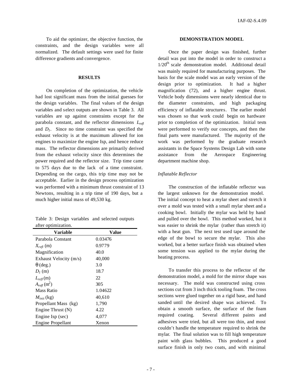To aid the optimizer, the objective function, the constraints, and the design variables were all normalized. The default settings were used for finite difference gradients and convergence.

## **RESULTS**

On completion of the optimization, the vehicle had lost significant mass from the initial guesses for the design variables. The final values of the design variables and select outputs are shown in Table 3. All variables are up against constraints except for the parabola constant, and the reflector dimensions *Lrefl* and  $D_1$ . Since no time constraint was specified the exhaust velocity is at the maximum allowed for ion engines to maximize the engine Isp, and hence reduce mass. The reflector dimensions are primarily derived from the exhaust velocity since this determines the power required and the reflector size. Trip time came to 575 days due to the lack of a time constraint. Depending on the cargo, this trip time may not be acceptable. Earlier in the design process optimization was performed with a minimum thrust constraint of 13 Newtons, resulting in a trip time of 190 days, but a much higher initial mass of 49,530 kg.

|                     |  |  | Table 3: Design variables and selected outputs |  |  |  |
|---------------------|--|--|------------------------------------------------|--|--|--|
| after optimization. |  |  |                                                |  |  |  |

| Variable                            | Value   |
|-------------------------------------|---------|
| Parabola Constant                   | 0.03476 |
| $X_{refl}$ (m)                      | 0.9779  |
| Magnification                       | 40.0    |
| Exhaust Velocity (m/s)              | 40,000  |
| $q$ (deg.)                          | 3.0     |
| $D_l(m)$                            | 18.7    |
| $L_{refl}(m)$                       | 22      |
| $A_{\text{refl}}$ (m <sup>2</sup> ) | 305     |
| Mass Ratio                          | 1.04622 |
| $M_{init}$ (kg)                     | 40,610  |
| Propellant Mass (kg)                | 1,790   |
| Engine Thrust $(N)$                 | 4.22    |
| Engine Isp (sec)                    | 4,077   |
| <b>Engine Propellant</b>            | Xenon   |

#### **DEMONSTRATION MODEL**

Once the paper design was finished, further detail was put into the model in order to construct a  $1/20<sup>th</sup>$  scale demonstration model. Additional detail was mainly required for manufacturing purposes. The basis for the scale model was an early version of the design prior to optimization. It had a higher magnification (72), and a higher engine thrust. Vehicle body dimensions were nearly identical due to the diameter constraints, and high packaging efficiency of inflatable structures. The earlier model was chosen so that work could begin on hardware prior to completion of the optimization. Initial tests were performed to verify our concepts, and then the final parts were manufactured. The majority of the work was performed by the graduate research assistants in the Space Systems Design Lab with some assistance from the Aerospace Engineering department machine shop.

# *Inflatable Reflector*

The construction of the inflatable reflector was the largest unknown for the demonstration model. The initial concept to heat a mylar sheet and stretch it over a mold was tested with a small mylar sheet and a cooking bowl. Initially the mylar was held by hand and pulled over the bowl. This method worked, but it was easier to shrink the mylar (rather than stretch it) with a heat gun. The next test used tape around the edge of the bowl to secure the mylar. This also worked, but a better surface finish was obtained when some tension was applied to the mylar during the heating process.

To transfer this process to the reflector of the demonstration model, a mold for the mirror shape was necessary. The mold was constructed using cross sections cut from 3 inch thick tooling foam. The cross sections were glued together on a rigid base, and hand sanded until the desired shape was achieved. To obtain a smooth surface, the surface of the foam required coating. Several different paints and adhesives were tried, but all were too thin, and most couldn't handle the temperature required to shrink the mylar. The final solution was to fill high temperature paint with glass bubbles. This produced a good surface finish in only two coats, and with minimal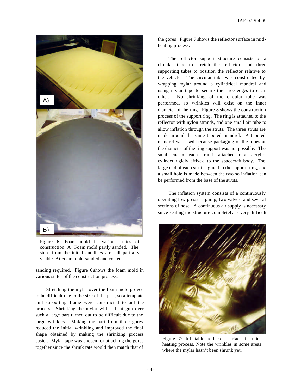

Figure 6: Foam mold in various states of construction. A) Foam mold partly sanded. The steps from the initial cut lines are still partially visible. B) Foam mold sanded and coated.

sanding required. Figure 6 shows the foam mold in various states of the construction process.

Stretching the mylar over the foam mold proved to be difficult due to the size of the part, so a template and supporting frame were constructed to aid the process. Shrinking the mylar with a heat gun over such a large part turned out to be difficult due to the large wrinkles. Making the part from three gores reduced the initial wrinkling and improved the final shape obtained by making the shrinking process easier. Mylar tape was chosen for attaching the gores together since the shrink rate would then match that of the gores. Figure 7 shows the reflector surface in midheating process.

The reflector support structure consists of a circular tube to stretch the reflector, and three supporting tubes to position the reflector relative to the vehicle. The circular tube was constructed by wrapping mylar around a cylindrical mandrel and using mylar tape to secure the free edges to each other. No shrinking of the circular tube was performed, so wrinkles will exist on the inner diameter of the ring. Figure 8 shows the construction process of the support ring. The ring is attached to the reflector with nylon strands, and one small air tube to allow inflation through the struts. The three struts are made around the same tapered mandrel. A tapered mandrel was used because packaging of the tubes at the diameter of the ring support was not possible. The small end of each strut is attached to an acrylic cylinder rigidly affixe d to the spacecraft body. The large end of each strut is glued to the support ring, and a small hole is made between the two so inflation can be performed from the base of the struts.

The inflation system consists of a continuously operating low pressure pump, two valves, and several sections of hose. A continuous air supply is necessary since sealing the structure completely is very difficult



Figure 7: Inflatable reflector surface in midheating process. Note the wrinkles in some areas where the mylar hasn't been shrunk yet.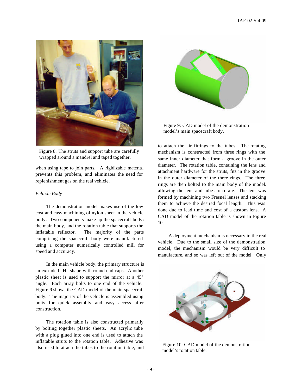

Figure 8: The struts and support tube are carefully wrapped around a mandrel and taped together.

when using tape to join parts. A rigidizable material prevents this problem, and eliminates the need for replenishment gas on the real vehicle.

## *Vehicle Body*

The demonstration model makes use of the low cost and easy machining of nylon sheet in the vehicle body. Two components make up the spacecraft body: the main body, and the rotation table that supports the inflatable reflector. The majority of the parts comprising the spacecraft body were manufactured using a computer numerically controlled mill for speed and accuracy.

In the main vehicle body, the primary structure is an extruded "H" shape with round end caps. Another plastic sheet is used to support the mirror at a 45º angle. Each array bolts to one end of the vehicle. Figure 9 shows the CAD model of the main spacecraft body. The majority of the vehicle is assembled using bolts for quick assembly and easy access after construction.

The rotation table is also constructed primarily by bolting together plastic sheets. An acrylic tube with a plug glued into one end is used to attach the inflatable struts to the rotation table. Adhesive was also used to attach the tubes to the rotation table, and



Figure 9: CAD model of the demonstration model's main spacecraft body.

to attach the air fittings to the tubes. The rotating mechanism is constructed from three rings with the same inner diameter that form a groove in the outer diameter. The rotation table, containing the lens and attachment hardware for the struts, fits in the groove in the outer diameter of the three rings. The three rings are then bolted to the main body of the model, allowing the lens and tubes to rotate. The lens was formed by machining two Fresnel lenses and stacking them to achieve the desired focal length. This was done due to lead time and cost of a custom lens. A CAD model of the rotation table is shown in Figure 10.

A deployment mechanism is necessary in the real vehicle. Due to the small size of the demonstration model, the mechanism would be very difficult to manufacture, and so was left out of the model. Only



Figure 10: CAD model of the demonstration model's rotation table.